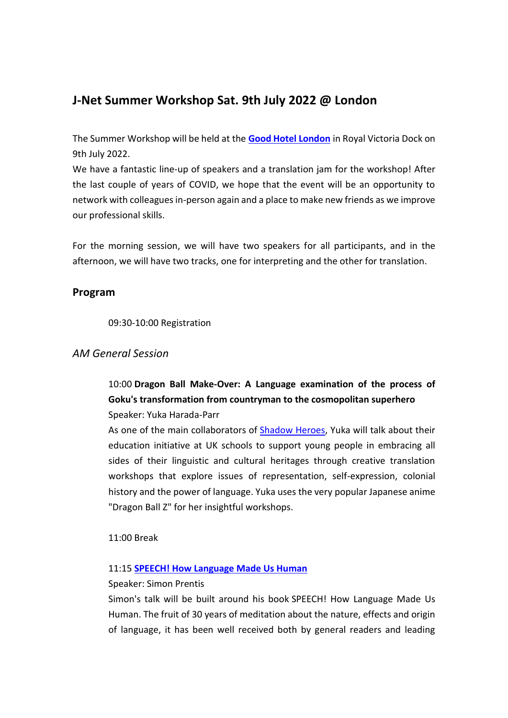# **J-Net Summer Workshop Sat. 9th July 2022 @ London**

The Summer Workshop will be held at the **[Good Hotel London](https://goodhotel.co/london/contact)** in Royal Victoria Dock on 9th July 2022.

We have a fantastic line-up of speakers and a translation jam for the workshop! After the last couple of years of COVID, we hope that the event will be an opportunity to network with colleagues in-person again and a place to make new friends as we improve our professional skills.

For the morning session, we will have two speakers for all participants, and in the afternoon, we will have two tracks, one for interpreting and the other for translation.

## **Program**

09:30-10:00 Registration

## *AM General Session*

10:00 **Dragon Ball Make-Over: A Language examination of the process of Goku's transformation from countryman to the cosmopolitan superhero** Speaker: Yuka Harada-Parr

As one of the main collaborators of [Shadow Heroes,](https://shadowheroes.org/about-us/) Yuka will talk about their education initiative at UK schools to support young people in embracing all sides of their linguistic and cultural heritages through creative translation workshops that explore issues of representation, self-expression, colonial history and the power of language. Yuka uses the very popular Japanese anime "Dragon Ball Z" for her insightful workshops.

11:00 Break

#### 11:15 **[SPEECH! How Language Made Us Human](https://www.amazon.co.uk/SPEECH-How-Language-Made-Human/dp/1916893511)**

#### Speaker: Simon Prentis

Simon's talk will be built around his book SPEECH! How Language Made Us Human. The fruit of 30 years of meditation about the nature, effects and origin of language, it has been well received both by general readers and leading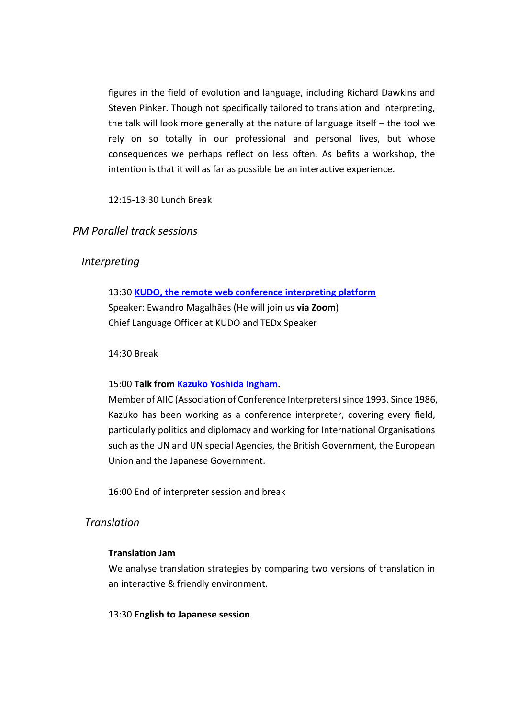figures in the field of evolution and language, including Richard Dawkins and Steven Pinker. Though not specifically tailored to translation and interpreting, the talk will look more generally at the nature of language itself – the tool we rely on so totally in our professional and personal lives, but whose consequences we perhaps reflect on less often. As befits a workshop, the intention is that it will as far as possible be an interactive experience.

### 12:15-13:30 Lunch Break

## *PM Parallel track sessions*

## *Interpreting*

## 13:30 **[KUDO, the remote web conference interpreting platform](https://kudoway.com/)** Speaker: Ewandro Magalhães (He will join us **via Zoom**) Chief Language Officer at KUDO and TEDx Speaker

#### 14:30 Break

### 15:00 **Talk from [Kazuko Yoshida Ingham.](https://www.thetimes.co.uk/article/shinzo-abe-treats-theresa-may-to-a-traditional-japanese-tea-for-two-with-entrails-gnwlvr3qr)**

Member of AIIC (Association of Conference Interpreters) since 1993. Since 1986, Kazuko has been working as a conference interpreter, covering every field, particularly politics and diplomacy and working for International Organisations such as the UN and UN special Agencies, the British Government, the European Union and the Japanese Government.

16:00 End of interpreter session and break

## *Translation*

#### **Translation Jam**

We analyse translation strategies by comparing two versions of translation in an interactive & friendly environment.

#### 13:30 **English to Japanese session**